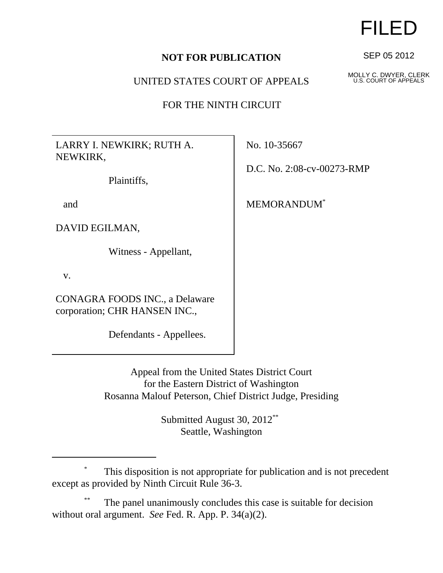## **NOT FOR PUBLICATION**

UNITED STATES COURT OF APPEALS

FOR THE NINTH CIRCUIT

LARRY I. NEWKIRK; RUTH A. NEWKIRK,

Plaintiffs,

and

DAVID EGILMAN,

Witness - Appellant,

v.

CONAGRA FOODS INC., a Delaware corporation; CHR HANSEN INC.,

Defendants - Appellees.

No. 10-35667

D.C. No. 2:08-cv-00273-RMP

MEMORANDUM\*

Appeal from the United States District Court for the Eastern District of Washington Rosanna Malouf Peterson, Chief District Judge, Presiding

> Submitted August 30, 2012\*\* Seattle, Washington

## \* This disposition is not appropriate for publication and is not precedent except as provided by Ninth Circuit Rule 36-3.

The panel unanimously concludes this case is suitable for decision without oral argument. *See* Fed. R. App. P. 34(a)(2).

## FILED

SEP 05 2012

MOLLY C. DWYER, CLERK U.S. COURT OF APPEALS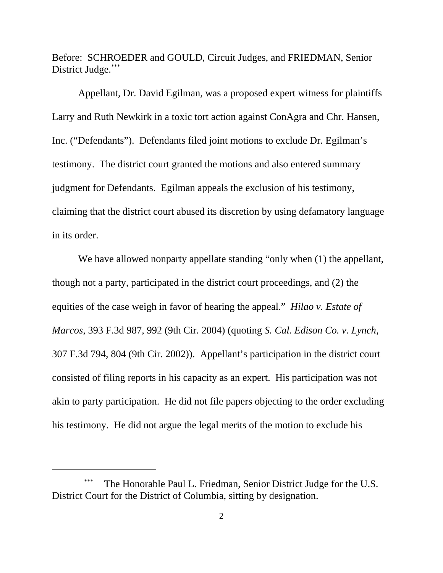Before: SCHROEDER and GOULD, Circuit Judges, and FRIEDMAN, Senior District Judge.\*\*\*

Appellant, Dr. David Egilman, was a proposed expert witness for plaintiffs Larry and Ruth Newkirk in a toxic tort action against ConAgra and Chr. Hansen, Inc. ("Defendants"). Defendants filed joint motions to exclude Dr. Egilman's testimony. The district court granted the motions and also entered summary judgment for Defendants. Egilman appeals the exclusion of his testimony, claiming that the district court abused its discretion by using defamatory language in its order.

We have allowed nonparty appellate standing "only when  $(1)$  the appellant, though not a party, participated in the district court proceedings, and (2) the equities of the case weigh in favor of hearing the appeal." *Hilao v. Estate of Marcos*, 393 F.3d 987, 992 (9th Cir. 2004) (quoting *S. Cal. Edison Co. v. Lynch*, 307 F.3d 794, 804 (9th Cir. 2002)). Appellant's participation in the district court consisted of filing reports in his capacity as an expert. His participation was not akin to party participation. He did not file papers objecting to the order excluding his testimony. He did not argue the legal merits of the motion to exclude his

The Honorable Paul L. Friedman, Senior District Judge for the U.S. District Court for the District of Columbia, sitting by designation.